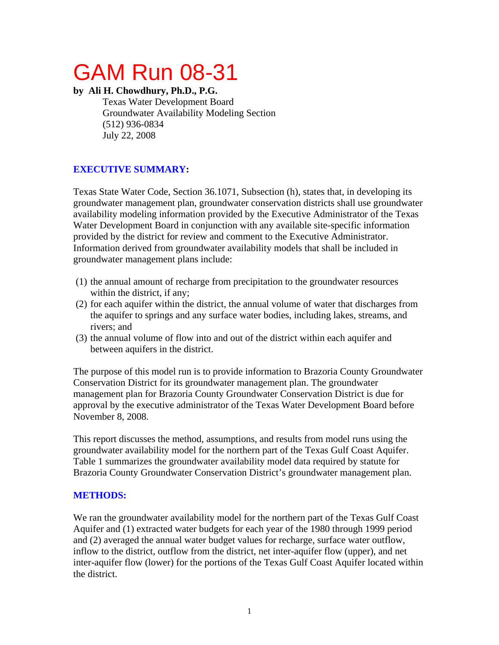# GAM Run 08-31

#### **by Ali H. Chowdhury, Ph.D., P.G.**

Texas Water Development Board Groundwater Availability Modeling Section (512) 936-0834 July 22, 2008

# **EXECUTIVE SUMMARY:**

Texas State Water Code, Section 36.1071, Subsection (h), states that, in developing its groundwater management plan, groundwater conservation districts shall use groundwater availability modeling information provided by the Executive Administrator of the Texas Water Development Board in conjunction with any available site-specific information provided by the district for review and comment to the Executive Administrator. Information derived from groundwater availability models that shall be included in groundwater management plans include:

- (1) the annual amount of recharge from precipitation to the groundwater resources within the district, if any;
- (2) for each aquifer within the district, the annual volume of water that discharges from the aquifer to springs and any surface water bodies, including lakes, streams, and rivers; and
- (3) the annual volume of flow into and out of the district within each aquifer and between aquifers in the district.

The purpose of this model run is to provide information to Brazoria County Groundwater Conservation District for its groundwater management plan. The groundwater management plan for Brazoria County Groundwater Conservation District is due for approval by the executive administrator of the Texas Water Development Board before November 8, 2008.

This report discusses the method, assumptions, and results from model runs using the groundwater availability model for the northern part of the Texas Gulf Coast Aquifer. Table 1 summarizes the groundwater availability model data required by statute for Brazoria County Groundwater Conservation District's groundwater management plan.

# **METHODS:**

We ran the groundwater availability model for the northern part of the Texas Gulf Coast Aquifer and (1) extracted water budgets for each year of the 1980 through 1999 period and (2) averaged the annual water budget values for recharge, surface water outflow, inflow to the district, outflow from the district, net inter-aquifer flow (upper), and net inter-aquifer flow (lower) for the portions of the Texas Gulf Coast Aquifer located within the district.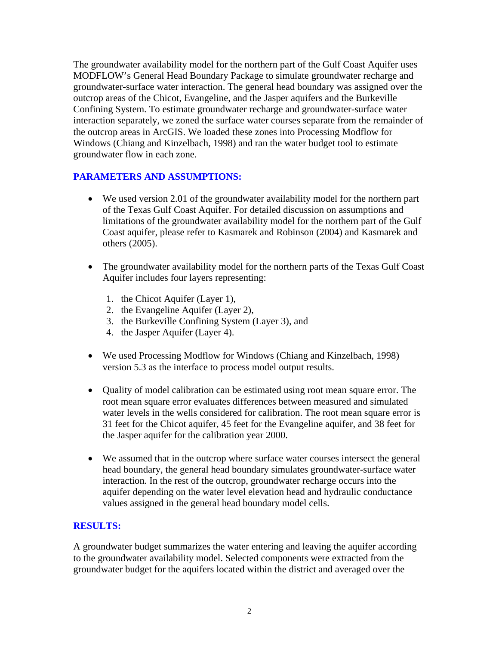The groundwater availability model for the northern part of the Gulf Coast Aquifer uses MODFLOW's General Head Boundary Package to simulate groundwater recharge and groundwater-surface water interaction. The general head boundary was assigned over the outcrop areas of the Chicot, Evangeline, and the Jasper aquifers and the Burkeville Confining System. To estimate groundwater recharge and groundwater-surface water interaction separately, we zoned the surface water courses separate from the remainder of the outcrop areas in ArcGIS. We loaded these zones into Processing Modflow for Windows (Chiang and Kinzelbach, 1998) and ran the water budget tool to estimate groundwater flow in each zone.

#### **PARAMETERS AND ASSUMPTIONS:**

- We used version 2.01 of the groundwater availability model for the northern part of the Texas Gulf Coast Aquifer. For detailed discussion on assumptions and limitations of the groundwater availability model for the northern part of the Gulf Coast aquifer, please refer to Kasmarek and Robinson (2004) and Kasmarek and others (2005).
- The groundwater availability model for the northern parts of the Texas Gulf Coast Aquifer includes four layers representing:
	- 1. the Chicot Aquifer (Layer 1),
	- 2. the Evangeline Aquifer (Layer 2),
	- 3. the Burkeville Confining System (Layer 3), and
	- 4. the Jasper Aquifer (Layer 4).
- We used Processing Modflow for Windows (Chiang and Kinzelbach, 1998) version 5.3 as the interface to process model output results.
- Quality of model calibration can be estimated using root mean square error. The root mean square error evaluates differences between measured and simulated water levels in the wells considered for calibration. The root mean square error is 31 feet for the Chicot aquifer, 45 feet for the Evangeline aquifer, and 38 feet for the Jasper aquifer for the calibration year 2000.
- We assumed that in the outcrop where surface water courses intersect the general head boundary, the general head boundary simulates groundwater-surface water interaction. In the rest of the outcrop, groundwater recharge occurs into the aquifer depending on the water level elevation head and hydraulic conductance values assigned in the general head boundary model cells.

# **RESULTS:**

A groundwater budget summarizes the water entering and leaving the aquifer according to the groundwater availability model. Selected components were extracted from the groundwater budget for the aquifers located within the district and averaged over the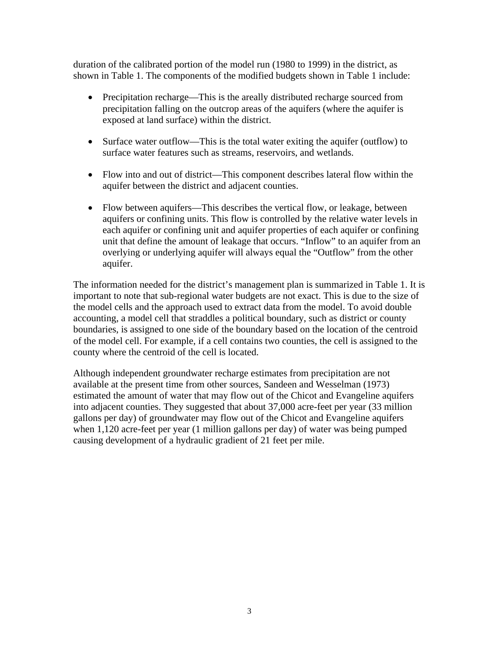duration of the calibrated portion of the model run (1980 to 1999) in the district, as shown in Table 1. The components of the modified budgets shown in Table 1 include:

- Precipitation recharge—This is the areally distributed recharge sourced from precipitation falling on the outcrop areas of the aquifers (where the aquifer is exposed at land surface) within the district.
- Surface water outflow—This is the total water exiting the aquifer (outflow) to surface water features such as streams, reservoirs, and wetlands.
- Flow into and out of district—This component describes lateral flow within the aquifer between the district and adjacent counties.
- Flow between aquifers—This describes the vertical flow, or leakage, between aquifers or confining units. This flow is controlled by the relative water levels in each aquifer or confining unit and aquifer properties of each aquifer or confining unit that define the amount of leakage that occurs. "Inflow" to an aquifer from an overlying or underlying aquifer will always equal the "Outflow" from the other aquifer.

The information needed for the district's management plan is summarized in Table 1. It is important to note that sub-regional water budgets are not exact. This is due to the size of the model cells and the approach used to extract data from the model. To avoid double accounting, a model cell that straddles a political boundary, such as district or county boundaries, is assigned to one side of the boundary based on the location of the centroid of the model cell. For example, if a cell contains two counties, the cell is assigned to the county where the centroid of the cell is located.

Although independent groundwater recharge estimates from precipitation are not available at the present time from other sources, Sandeen and Wesselman (1973) estimated the amount of water that may flow out of the Chicot and Evangeline aquifers into adjacent counties. They suggested that about 37,000 acre-feet per year (33 million gallons per day) of groundwater may flow out of the Chicot and Evangeline aquifers when 1,120 acre-feet per year (1 million gallons per day) of water was being pumped causing development of a hydraulic gradient of 21 feet per mile.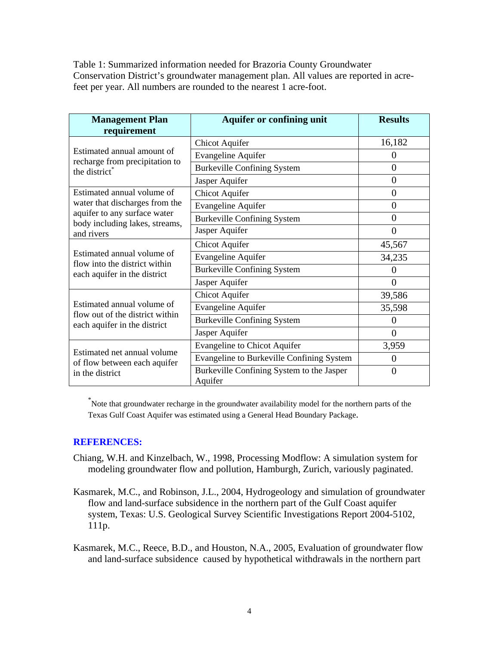Table 1: Summarized information needed for Brazoria County Groundwater Conservation District's groundwater management plan. All values are reported in acrefeet per year. All numbers are rounded to the nearest 1 acre-foot.

| <b>Management Plan</b>                                                                                                                       | <b>Aquifer or confining unit</b>                     | <b>Results</b> |
|----------------------------------------------------------------------------------------------------------------------------------------------|------------------------------------------------------|----------------|
| requirement                                                                                                                                  |                                                      |                |
| Estimated annual amount of<br>recharge from precipitation to<br>the district <sup>®</sup>                                                    | <b>Chicot Aquifer</b>                                | 16,182         |
|                                                                                                                                              | Evangeline Aquifer                                   | $\theta$       |
|                                                                                                                                              | <b>Burkeville Confining System</b>                   | $\theta$       |
|                                                                                                                                              | Jasper Aquifer                                       | $\overline{0}$ |
| Estimated annual volume of<br>water that discharges from the<br>aquifer to any surface water<br>body including lakes, streams,<br>and rivers | <b>Chicot Aquifer</b>                                | $\overline{0}$ |
|                                                                                                                                              | <b>Evangeline Aquifer</b>                            | $\overline{0}$ |
|                                                                                                                                              | <b>Burkeville Confining System</b>                   | 0              |
|                                                                                                                                              | Jasper Aquifer                                       | $\theta$       |
| Estimated annual volume of<br>flow into the district within<br>each aquifer in the district                                                  | <b>Chicot Aquifer</b>                                | 45,567         |
|                                                                                                                                              | <b>Evangeline Aquifer</b>                            | 34,235         |
|                                                                                                                                              | <b>Burkeville Confining System</b>                   | 0              |
|                                                                                                                                              | Jasper Aquifer                                       | $\overline{0}$ |
| Estimated annual volume of<br>flow out of the district within<br>each aquifer in the district                                                | <b>Chicot Aquifer</b>                                | 39,586         |
|                                                                                                                                              | <b>Evangeline Aquifer</b>                            | 35,598         |
|                                                                                                                                              | <b>Burkeville Confining System</b>                   | 0              |
|                                                                                                                                              | Jasper Aquifer                                       | $\theta$       |
| Estimated net annual volume<br>of flow between each aquifer<br>in the district                                                               | <b>Evangeline to Chicot Aquifer</b>                  | 3,959          |
|                                                                                                                                              | Evangeline to Burkeville Confining System            | 0              |
|                                                                                                                                              | Burkeville Confining System to the Jasper<br>Aquifer | $\theta$       |

\* Note that groundwater recharge in the groundwater availability model for the northern parts of the Texas Gulf Coast Aquifer was estimated using a General Head Boundary Package.

#### **REFERENCES:**

- Chiang, W.H. and Kinzelbach, W., 1998, Processing Modflow: A simulation system for modeling groundwater flow and pollution, Hamburgh, Zurich, variously paginated.
- Kasmarek, M.C., and Robinson, J.L., 2004, Hydrogeology and simulation of groundwater flow and land-surface subsidence in the northern part of the Gulf Coast aquifer system, Texas: U.S. Geological Survey Scientific Investigations Report 2004-5102, 111p.

Kasmarek, M.C., Reece, B.D., and Houston, N.A., 2005, Evaluation of groundwater flow and land-surface subsidence caused by hypothetical withdrawals in the northern part